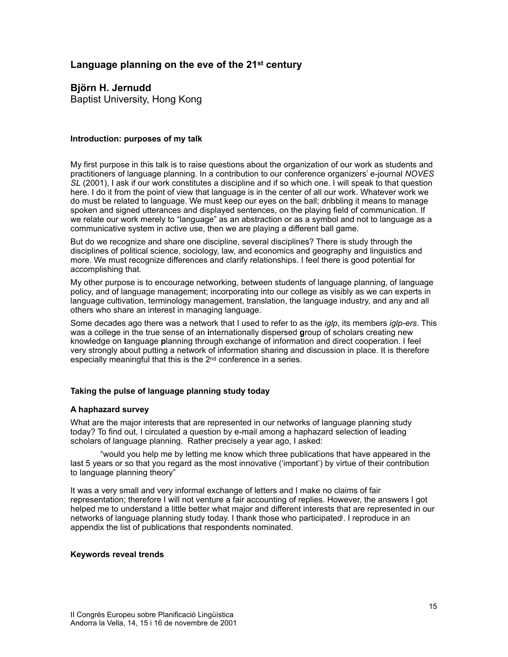# **Language planning on the eve of the 21st century**

# **Björn H. Jernudd**

Baptist University, Hong Kong

### **Introduction: purposes of my talk**

My first purpose in this talk is to raise questions about the organization of our work as students and practitioners of language planning. In a contribution to our conference organizers' e-journal *NOVES SL* (2001), I ask if our work constitutes a discipline and if so which one. I will speak to that question here. I do it from the point of view that language is in the center of all our work. Whatever work we do must be related to language. We must keep our eyes on the ball; dribbling it means to manage spoken and signed utterances and displayed sentences, on the playing field of communication. If we relate our work merely to "language" as an abstraction or as a symbol and not to language as a communicative system in active use, then we are playing a different ball game.

But do we recognize and share one discipline, several disciplines? There is study through the disciplines of political science, sociology, law, and economics and geography and linguistics and more. We must recognize differences and clarify relationships. I feel there is good potential for accomplishing that.

My other purpose is to encourage networking, between students of language planning, of language policy, and of language management; incorporating into our college as visibly as we can experts in language cultivation, terminology management, translation, the language industry, and any and all others who share an interest in managing language.

Some decades ago there was a network that I used to refer to as the *iglp*, its members *iglp-ers*. This was a college in the true sense of an **i**nternationally dispersed **g**roup of scholars creating new knowledge on **l**anguage **p**lanning through exchange of information and direct cooperation. I feel very strongly about putting a network of information sharing and discussion in place. It is therefore especially meaningful that this is the 2nd conference in a series.

# **Taking the pulse of language planning study today**

### **A haphazard survey**

What are the major interests that are represented in our networks of language planning study today? To find out, I circulated a question by e-mail among a haphazard selection of leading scholars of language planning. Rather precisely a year ago, I asked:

"would you help me by letting me know which three publications that have appeared in the last 5 years or so that you regard as the most innovative ('important') by virtue of their contribution to language planning theory"

<span id="page-0-0"></span>It was a very small and very informal exchange of letters and I make no claims of fair representation; therefore I will not venture a fair accounting of replies. However, the answers I got helped me to understand a little better what major and different interests that are represented in our networks of language planning study today[.](#page-16-0) I thank those who part[i](#page-16-0)cipated . I reproduce in an appendix the list of publications that respondents nominated.

### **Keywords reveal trends**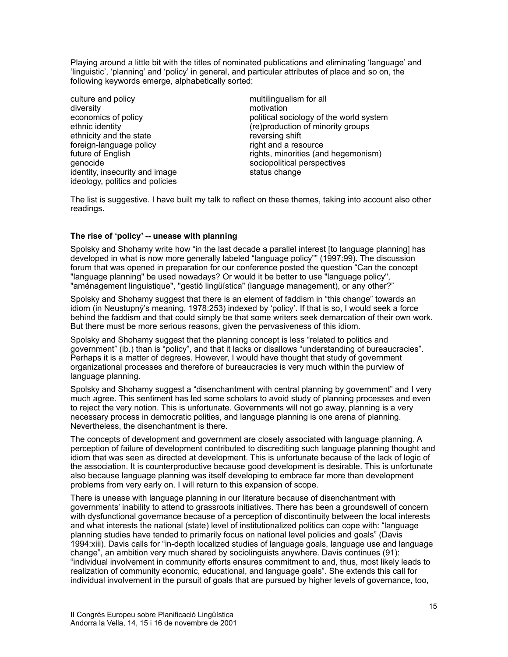Playing around a little bit with the titles of nominated publications and eliminating 'language' and 'linguistic', 'planning' and 'policy' in general, and particular attributes of place and so on, the following keywords emerge, alphabetically sorted:

culture and policy multilingualism for all diversity motivation<br>economics of policy example and the motivation of political so ethnicity and the state reversing shift foreign-language policy right and a resource identity, insecurity and image status change ideology, politics and policies

political sociology of the world system ethnic identity (re)production of minority groups future of English rights, minorities (and hegemonism)<br>genocide sociopolitical perspectives sociopolitical perspectives

The list is suggestive. I have built my talk to reflect on these themes, taking into account also other readings.

### **The rise of 'policy' -- unease with planning**

Spolsky and Shohamy write how "in the last decade a parallel interest [to language planning] has developed in what is now more generally labeled "language policy"" (1997:99). The discussion forum that was opened in preparation for our conference posted the question "Can the concept "language planning" be used nowadays? Or would it be better to use "language policy", "aménagement linguistique", "gestió lingüística" (language management), or any other?"

Spolsky and Shohamy suggest that there is an element of faddism in "this change" towards an idiom (in Neustupný's meaning, 1978:253) indexed by 'policy'. If that is so, I would seek a force behind the faddism and that could simply be that some writers seek demarcation of their own work. But there must be more serious reasons, given the pervasiveness of this idiom.

Spolsky and Shohamy suggest that the planning concept is less "related to politics and government" (ib.) than is "policy", and that it lacks or disallows "understanding of bureaucracies". Perhaps it is a matter of degrees. However, I would have thought that study of government organizational processes and therefore of bureaucracies is very much within the purview of language planning.

Spolsky and Shohamy suggest a "disenchantment with central planning by government" and I very much agree. This sentiment has led some scholars to avoid study of planning processes and even to reject the very notion. This is unfortunate. Governments will not go away, planning is a very necessary process in democratic polities, and language planning is one arena of planning. Nevertheless, the disenchantment is there.

The concepts of development and government are closely associated with language planning. A perception of failure of development contributed to discrediting such language planning thought and idiom that was seen as directed at development. This is unfortunate because of the lack of logic of the association. It is counterproductive because good development is desirable. This is unfortunate also because language planning was itself developing to embrace far more than development problems from very early on. I will return to this expansion of scope.

There is unease with language planning in our literature because of disenchantment with governments' inability to attend to grassroots initiatives. There has been a groundswell of concern with dysfunctional governance because of a perception of discontinuity between the local interests and what interests the national (state) level of institutionalized politics can cope with: "language planning studies have tended to primarily focus on national level policies and goals" (Davis 1994:xiii). Davis calls for "in-depth localized studies of language goals, language use and language change", an ambition very much shared by sociolinguists anywhere. Davis continues (91): "individual involvement in community efforts ensures commitment to and, thus, most likely leads to realization of community economic, educational, and language goals". She extends this call for individual involvement in the pursuit of goals that are pursued by higher levels of governance, too,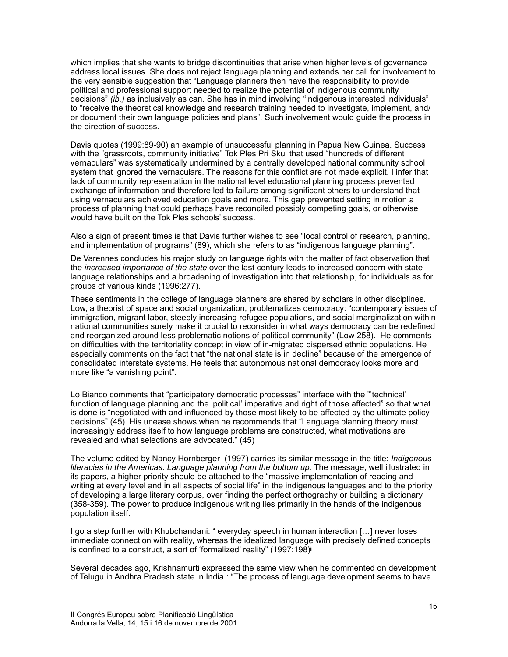which implies that she wants to bridge discontinuities that arise when higher levels of governance address local issues. She does not reject language planning and extends her call for involvement to the very sensible suggestion that "Language planners then have the responsibility to provide political and professional support needed to realize the potential of indigenous community decisions" *(ib.)* as inclusively as can. She has in mind involving "indigenous interested individuals" to "receive the theoretical knowledge and research training needed to investigate, implement, and/ or document their own language policies and plans". Such involvement would guide the process in the direction of success.

Davis quotes (1999:89-90) an example of unsuccessful planning in Papua New Guinea. Success with the "grassroots, community initiative" Tok Ples Pri Skul that used "hundreds of different vernaculars" was systematically undermined by a centrally developed national community school system that ignored the vernaculars. The reasons for this conflict are not made explicit. I infer that lack of community representation in the national level educational planning process prevented exchange of information and therefore led to failure among significant others to understand that using vernaculars achieved education goals and more. This gap prevented setting in motion a process of planning that could perhaps have reconciled possibly competing goals, or otherwise would have built on the Tok Ples schools' success.

Also a sign of present times is that Davis further wishes to see "local control of research, planning, and implementation of programs" (89), which she refers to as "indigenous language planning".

De Varennes concludes his major study on language rights with the matter of fact observation that the *increased importance of the state* over the last century leads to increased concern with statelanguage relationships and a broadening of investigation into that relationship, for individuals as for groups of various kinds (1996:277).

These sentiments in the college of language planners are shared by scholars in other disciplines. Low, a theorist of space and social organization, problematizes democracy: "contemporary issues of immigration, migrant labor, steeply increasing refugee populations, and social marginalization within national communities surely make it crucial to reconsider in what ways democracy can be redefined and reorganized around less problematic notions of political community" (Low 258). He comments on difficulties with the territoriality concept in view of in-migrated dispersed ethnic populations. He especially comments on the fact that "the national state is in decline" because of the emergence of consolidated interstate systems. He feels that autonomous national democracy looks more and more like "a vanishing point".

Lo Bianco comments that "participatory democratic processes" interface with the "'technical' function of language planning and the 'political' imperative and right of those affected" so that what is done is "negotiated with and influenced by those most likely to be affected by the ultimate policy decisions" (45). His unease shows when he recommends that "Language planning theory must increasingly address itself to how language problems are constructed, what motivations are revealed and what selections are advocated." (45)

The volume edited by Nancy Hornberger (1997) carries its similar message in the title: *Indigenous literacies in the Americas. Language planning from the bottom up.* The message, well illustrated in its papers, a higher priority should be attached to the "massive implementation of reading and writing at every level and in all aspects of social life" in the indigenous languages and to the priority of developing a large literary corpus, over finding the perfect orthography or building a dictionary (358-359). The power to produce indigenous writing lies primarily in the hands of the indigenous population itself.

I go a step further with Khubchandani: " everyday speech in human interaction […] never loses immediate connection with reality, whereas the idealized language with precisely defined concepts is confined to a construct, a sort of 'formalized' reality" (1997:198[\)](#page-16-1) [ii](#page-16-1)

<span id="page-2-0"></span>Several decades ago, Krishnamurti expressed the same view when he commented on development of Telugu in Andhra Pradesh state in India : "The process of language development seems to have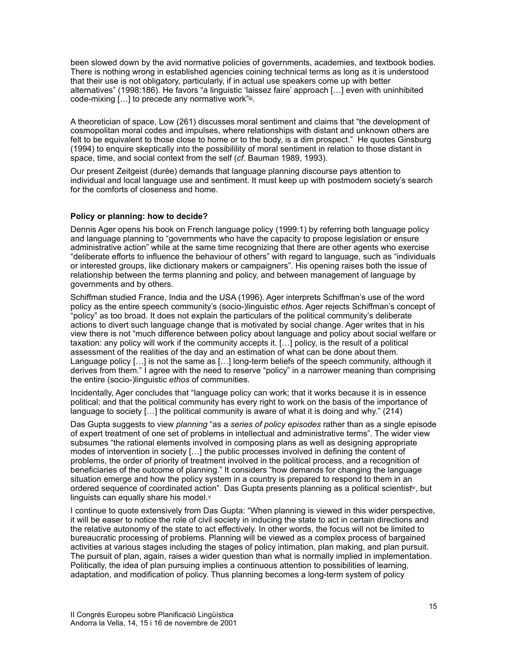been slowed down by the avid normative policies of governments, academies, and textbook bodies. There is nothing wrong in established agencies coining technical terms as long as it is understood that their use is not obligatory, particularly, if in actual use speakers come up with better alternatives" (1998:186). He favors "a linguistic 'laissez faire' approach […] even with uninhibited code-mixing  $[...]$  $[...]$  $[...]$  to precede any normative work" $ii$ .

<span id="page-3-0"></span>A theoretician of space, Low (261) discusses moral sentiment and claims that "the development of cosmopolitan moral codes and impulses, where relationships with distant and unknown others are felt to be equivalent to those close to home or to the body, is a dim prospect." He quotes Ginsburg (1994) to enquire skeptically into the possibilility of moral sentiment in relation to those distant in space, time, and social context from the self (*cf.* Bauman 1989, 1993).

Our present Zeitgeist (durée) demands that language planning discourse pays attention to individual and local language use and sentiment. It must keep up with postmodern society's search for the comforts of closeness and home.

#### **Policy or planning: how to decide?**

Dennis Ager opens his book on French language policy (1999:1) by referring both language policy and language planning to "governments who have the capacity to propose legislation or ensure administrative action" while at the same time recognizing that there are other agents who exercise "deliberate efforts to influence the behaviour of others" with regard to language, such as "individuals or interested groups, like dictionary makers or campaigners". His opening raises both the issue of relationship between the terms planning and policy, and between management of language by governments and by others.

Schiffman studied France, India and the USA (1996). Ager interprets Schiffman's use of the word policy as the entire speech community's (socio-)linguistic *ethos*. Ager rejects Schiffman's concept of "policy" as too broad. It does not explain the particulars of the political community's deliberate actions to divert such language change that is motivated by social change. Ager writes that in his view there is not "much difference between policy about language and policy about social welfare or taxation: any policy will work if the community accepts it. […] policy, is the result of a political assessment of the realities of the day and an estimation of what can be done about them. Language policy [...] is not the same as [...] long-term beliefs of the speech community, although it derives from them." I agree with the need to reserve "policy" in a narrower meaning than comprising the entire (socio-)linguistic *ethos* of communities.

Incidentally, Ager concludes that "language policy can work; that it works because it is in essence political; and that the political community has every right to work on the basis of the importance of language to society  $[...]$  the political community is aware of what it is doing and why." (214)

Das Gupta suggests to view *planning* "as a *series of policy episodes* rather than as a single episode of expert treatment of one set of problems in intellectual and administrative terms". The wider view subsumes "the rational elements involved in composing plans as well as designing appropriate modes of intervention in society […] the public processes involved in defining the content of problems, the order of priority of treatment involved in the political process, and a recognition of beneficiaries of the outcome of planning." It considers "how demands for changing the language situation emerge and how the policy system in a country is prepared to respond to them in an ordered sequence of coordinated action". Das Gupta presents planning as a political scientist<sup>[iv](#page-16-3)</sup>, but linguists can equally share his model.[v](#page-16-4)

<span id="page-3-2"></span><span id="page-3-1"></span>I continue to quote extensively from Das Gupta: "When planning is viewed in this wider perspective, it will be easer to notice the role of civil society in inducing the state to act in certain directions and the relative autonomy of the state to act effectively. In other words, the focus will not be limited to bureaucratic processing of problems. Planning will be viewed as a complex process of bargained activities at various stages including the stages of policy intimation, plan making, and plan pursuit. The pursuit of plan, again, raises a wider question than what is normally implied in implementation. Politically, the idea of plan pursuing implies a continuous attention to possibilities of learning, adaptation, and modification of policy. Thus planning becomes a long-term system of policy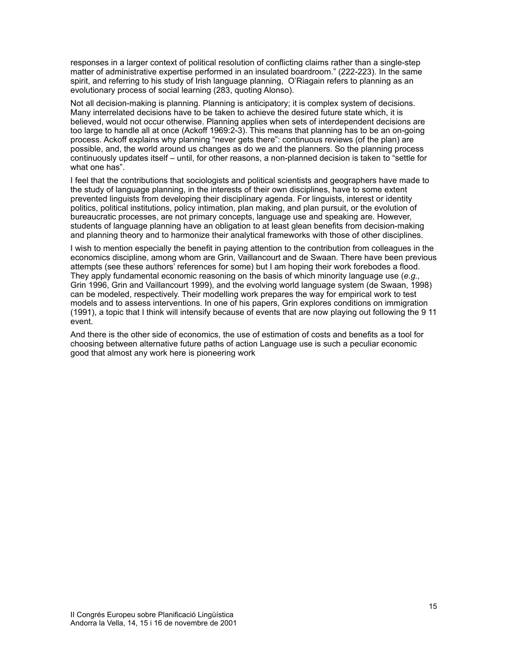responses in a larger context of political resolution of conflicting claims rather than a single-step matter of administrative expertise performed in an insulated boardroom." (222-223). In the same spirit, and referring to his study of Irish language planning, O'Riagain refers to planning as an evolutionary process of social learning (283, quoting Alonso).

Not all decision-making is planning. Planning is anticipatory; it is complex system of decisions. Many interrelated decisions have to be taken to achieve the desired future state which, it is believed, would not occur otherwise. Planning applies when sets of interdependent decisions are too large to handle all at once (Ackoff 1969:2-3). This means that planning has to be an on-going process. Ackoff explains why planning "never gets there": continuous reviews (of the plan) are possible, and, the world around us changes as do we and the planners. So the planning process continuously updates itself – until, for other reasons, a non-planned decision is taken to "settle for what one has".

I feel that the contributions that sociologists and political scientists and geographers have made to the study of language planning, in the interests of their own disciplines, have to some extent prevented linguists from developing their disciplinary agenda. For linguists, interest or identity politics, political institutions, policy intimation, plan making, and plan pursuit, or the evolution of bureaucratic processes, are not primary concepts, language use and speaking are. However, students of language planning have an obligation to at least glean benefits from decision-making and planning theory and to harmonize their analytical frameworks with those of other disciplines.

I wish to mention especially the benefit in paying attention to the contribution from colleagues in the economics discipline, among whom are Grin, Vaillancourt and de Swaan. There have been previous attempts (see these authors' references for some) but I am hoping their work forebodes a flood. They apply fundamental economic reasoning on the basis of which minority language use (*e.g.,* Grin 1996, Grin and Vaillancourt 1999), and the evolving world language system (de Swaan, 1998) can be modeled, respectively. Their modelling work prepares the way for empirical work to test models and to assess interventions. In one of his papers, Grin explores conditions on immigration (1991), a topic that I think will intensify because of events that are now playing out following the 9 11 event.

And there is the other side of economics, the use of estimation of costs and benefits as a tool for choosing between alternative future paths of action Language use is such a peculiar economic good that almost any work here is pioneering work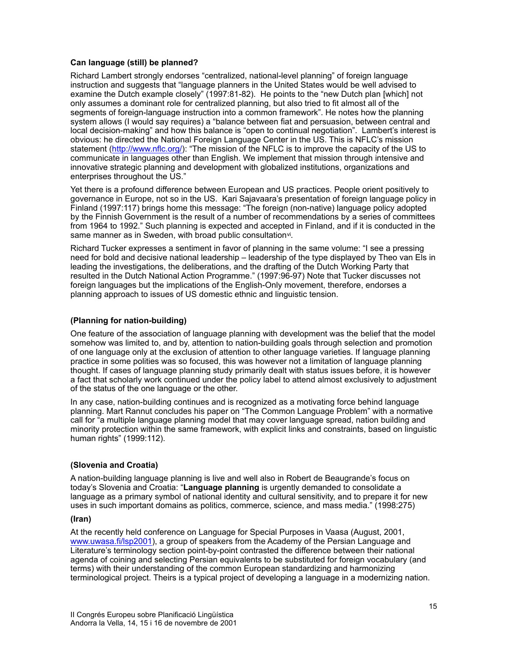### **Can language (still) be planned?**

Richard Lambert strongly endorses "centralized, national-level planning" of foreign language instruction and suggests that "language planners in the United States would be well advised to examine the Dutch example closely" (1997:81-82). He points to the "new Dutch plan [which] not only assumes a dominant role for centralized planning, but also tried to fit almost all of the segments of foreign-language instruction into a common framework". He notes how the planning system allows (I would say requires) a "balance between fiat and persuasion, between central and local decision-making" and how this balance is "open to continual negotiation". Lambert's interest is obvious: he directed the National Foreign Language Center in the US. This is NFLC's mission statement (http://www.nflc.org/): "The mission of the NFLC is to improve the capacity of the US to communicate in languages other than English. We implement that mission through intensive and innovative strategic planning and development with globalized institutions, organizations and enterprises throughout the US."

Yet there is a profound difference between European and US practices. People orient positively to governance in Europe, not so in the US. Kari Sajavaara's presentation of foreign language policy in Finland (1997:117) brings home this message: "The foreign (non-native) language policy adopted by the Finnish Government is the result of a number of recommendations by a series of committees from 1964 to 1992." Such planning is expected and accepted in Finland, and if it is conducted in the same manner as in Sweden, with broad public consultation<sup>vi</sup>[.](#page-16-5)

<span id="page-5-0"></span>Richard Tucker expresses a sentiment in favor of planning in the same volume: "I see a pressing need for bold and decisive national leadership – leadership of the type displayed by Theo van Els in leading the investigations, the deliberations, and the drafting of the Dutch Working Party that resulted in the Dutch National Action Programme." (1997:96-97) Note that Tucker discusses not foreign languages but the implications of the English-Only movement, therefore, endorses a planning approach to issues of US domestic ethnic and linguistic tension.

### **(Planning for nation-building)**

One feature of the association of language planning with development was the belief that the model somehow was limited to, and by, attention to nation-building goals through selection and promotion of one language only at the exclusion of attention to other language varieties. If language planning practice in some polities was so focused, this was however not a limitation of language planning thought. If cases of language planning study primarily dealt with status issues before, it is however a fact that scholarly work continued under the policy label to attend almost exclusively to adjustment of the status of the one language or the other.

In any case, nation-building continues and is recognized as a motivating force behind language planning. Mart Rannut concludes his paper on "The Common Language Problem" with a normative call for "a multiple language planning model that may cover language spread, nation building and minority protection within the same framework, with explicit links and constraints, based on linguistic human rights" (1999:112).

### **(Slovenia and Croatia)**

A nation-building language planning is live and well also in Robert de Beaugrande's focus on today's Slovenia and Croatia: "**Language planning** is urgently demanded to consolidate a language as a primary symbol of national identity and cultural sensitivity, and to prepare it for new uses in such important domains as politics, commerce, science, and mass media." (1998:275)

### **(Iran)**

At the recently held conference on Language for Special Purposes in Vaasa (August, 2001, www.uwasa.fi/lsp2001), a group of speakers from the Academy of the Persian Language and Literature's terminology section point-by-point contrasted the difference between their national agenda of coining and selecting Persian equivalents to be substituted for foreign vocabulary (and terms) with their understanding of the common European standardizing and harmonizing terminological project. Theirs is a typical project of developing a language in a modernizing nation.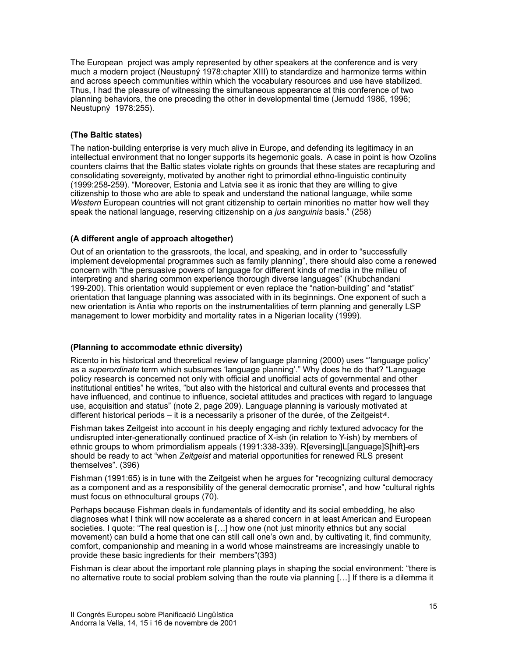The European project was amply represented by other speakers at the conference and is very much a modern project (Neustupný 1978:chapter XIII) to standardize and harmonize terms within and across speech communities within which the vocabulary resources and use have stabilized. Thus, I had the pleasure of witnessing the simultaneous appearance at this conference of two planning behaviors, the one preceding the other in developmental time (Jernudd 1986, 1996; Neustupný 1978:255).

# **(The Baltic states)**

The nation-building enterprise is very much alive in Europe, and defending its legitimacy in an intellectual environment that no longer supports its hegemonic goals. A case in point is how Ozolins counters claims that the Baltic states violate rights on grounds that these states are recapturing and consolidating sovereignty, motivated by another right to primordial ethno-linguistic continuity (1999:258-259). "Moreover, Estonia and Latvia see it as ironic that they are willing to give citizenship to those who are able to speak and understand the national language, while some *Western* European countries will not grant citizenship to certain minorities no matter how well they speak the national language, reserving citizenship on a *jus sanguinis* basis." (258)

# **(A different angle of approach altogether)**

Out of an orientation to the grassroots, the local, and speaking, and in order to "successfully implement developmental programmes such as family planning", there should also come a renewed concern with "the persuasive powers of language for different kinds of media in the milieu of interpreting and sharing common experience thorough diverse languages" (Khubchandani 199-200). This orientation would supplement or even replace the "nation-building" and "statist" orientation that language planning was associated with in its beginnings. One exponent of such a new orientation is Antia who reports on the instrumentalities of term planning and generally LSP management to lower morbidity and mortality rates in a Nigerian locality (1999).

# **(Planning to accommodate ethnic diversity)**

Ricento in his historical and theoretical review of language planning (2000) uses "'language policy' as a *superordinate* term which subsumes 'language planning'." Why does he do that? "Language policy research is concerned not only with official and unofficial acts of governmental and other institutional entities" he writes, "but also with the historical and cultural events and processes that have influenced, and continue to influence, societal attitudes and practices with regard to language use, acquisition and status" (note 2, page 209). Language planning is variously motivated at different historical periods – it is a necessarily a prisoner of the durée, of the Zeitgeist<sup>vii</sup>[.](#page-16-6)

<span id="page-6-0"></span>Fishman takes Zeitgeist into account in his deeply engaging and richly textured advocacy for the undisrupted inter-generationally continued practice of X-ish (in relation to Y-ish) by members of ethnic groups to whom primordialism appeals (1991:338-339). R[eversing]L[anguage]S[hift]-ers should be ready to act "when *Zeitgeist* and material opportunities for renewed RLS present themselves". (396)

Fishman (1991:65) is in tune with the Zeitgeist when he argues for "recognizing cultural democracy as a component and as a responsibility of the general democratic promise", and how "cultural rights must focus on ethnocultural groups (70).

Perhaps because Fishman deals in fundamentals of identity and its social embedding, he also diagnoses what I think will now accelerate as a shared concern in at least American and European societies. I quote: "The real question is [...] how one (not just minority ethnics but any social movement) can build a home that one can still call one's own and, by cultivating it, find community, comfort, companionship and meaning in a world whose mainstreams are increasingly unable to provide these basic ingredients for their members"(393)

Fishman is clear about the important role planning plays in shaping the social environment: "there is no alternative route to social problem solving than the route via planning […] If there is a dilemma it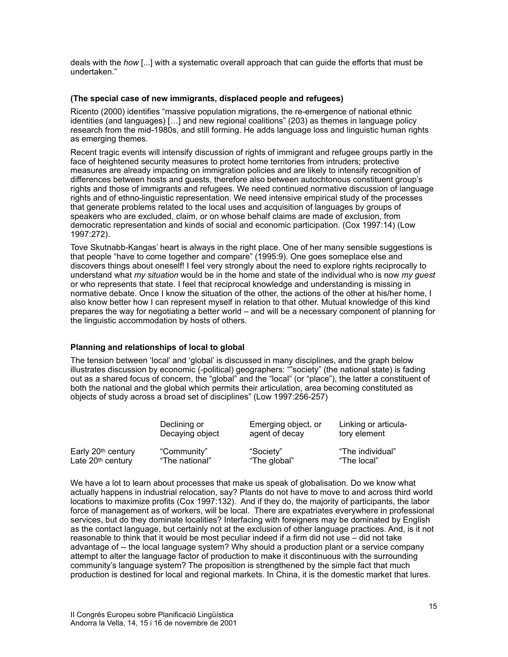deals with the *how* [...] with a systematic overall approach that can guide the efforts that must be undertaken."

#### **(The special case of new immigrants, displaced people and refugees)**

Ricento (2000) identifies "massive population migrations, the re-emergence of national ethnic identities (and languages) […] and new regional coalitions" (203) as themes in language policy research from the mid-1980s, and still forming. He adds language loss and linguistic human rights as emerging themes.

Recent tragic events will intensify discussion of rights of immigrant and refugee groups partly in the face of heightened security measures to protect home territories from intruders; protective measures are already impacting on immigration policies and are likely to intensify recognition of differences between hosts and guests, therefore also between autochtonous constituent group's rights and those of immigrants and refugees. We need continued normative discussion of language rights and of ethno-linguistic representation. We need intensive empirical study of the processes that generate problems related to the local uses and acquisition of languages by groups of speakers who are excluded, claim, or on whose behalf claims are made of exclusion, from democratic representation and kinds of social and economic participation. (Cox 1997:14) (Low 1997:272).

Tove Skutnabb-Kangas' heart is always in the right place. One of her many sensible suggestions is that people "have to come together and compare" (1995:9). One goes someplace else and discovers things about oneself! I feel very strongly about the need to explore rights reciprocally to understand what *my situation* would be in the home and state of the individual who is now *my guest* or who represents that state. I feel that reciprocal knowledge and understanding is missing in normative debate. Once I know the situation of the other, the actions of the other at his/her home, I also know better how I can represent myself in relation to that other. Mutual knowledge of this kind prepares the way for negotiating a better world – and will be a necessary component of planning for the linguistic accommodation by hosts of others.

### **Planning and relationships of local to global**

The tension between 'local' and 'global' is discussed in many disciplines, and the graph below illustrates discussion by economic (-political) geographers: ""society" (the national state) is fading out as a shared focus of concern, the "global" and the "local" (or "place"), the latter a constituent of both the national and the global which permits their articulation, area becoming constituted as objects of study across a broad set of disciplines" (Low 1997:256-257)

|                                | Declining or    | Emerging object, or | Linking or articula- |
|--------------------------------|-----------------|---------------------|----------------------|
|                                | Decaying object | agent of decay      | tory element         |
| Early 20 <sup>th</sup> century | "Community"     | "Society"           | "The individual"     |
| Late 20 <sup>th</sup> century  | "The national"  | "The global"        | "The local"          |

We have a lot to learn about processes that make us speak of globalisation. Do we know what actually happens in industrial relocation, say? Plants do not have to move to and across third world locations to maximize profits (Cox 1997:132). And if they do, the majority of participants, the labor force of management as of workers, will be local. There are expatriates everywhere in professional services, but do they dominate localities? Interfacing with foreigners may be dominated by English as the contact language, but certainly not at the exclusion of other language practices. And, is it not reasonable to think that it would be most peculiar indeed if a firm did not use – did not take advantage of -- the local language system? Why should a production plant or a service company attempt to alter the language factor of production to make it discontinuous with the surrounding community's language system? The proposition is strengthened by the simple fact that much production is destined for local and regional markets. In China, it is the domestic market that lures.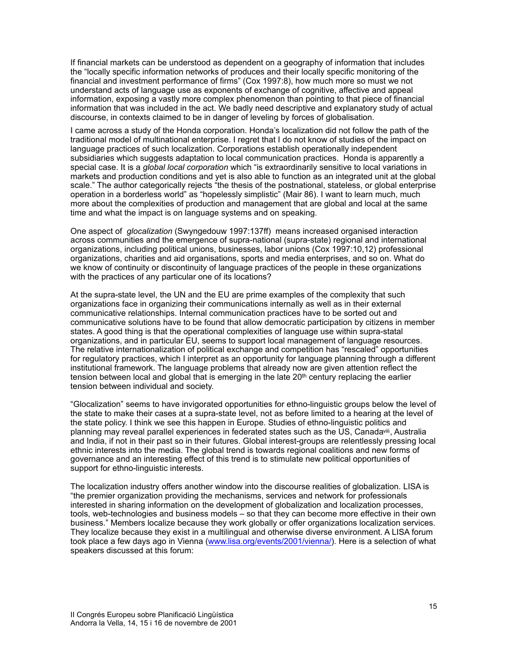If financial markets can be understood as dependent on a geography of information that includes the "locally specific information networks of produces and their locally specific monitoring of the financial and investment performance of firms" (Cox 1997:8), how much more so must we not understand acts of language use as exponents of exchange of cognitive, affective and appeal information, exposing a vastly more complex phenomenon than pointing to that piece of financial information that was included in the act. We badly need descriptive and explanatory study of actual discourse, in contexts claimed to be in danger of leveling by forces of globalisation.

I came across a study of the Honda corporation. Honda's localization did not follow the path of the traditional model of multinational enterprise. I regret that I do not know of studies of the impact on language practices of such localization. Corporations establish operationally independent subsidiaries which suggests adaptation to local communication practices. Honda is apparently a special case. It is a *global local corporation* which "is extraordinarily sensitive to local variations in markets and production conditions and yet is also able to function as an integrated unit at the global scale." The author categorically rejects "the thesis of the postnational, stateless, or global enterprise operation in a borderless world" as "hopelessly simplistic" (Mair 86). I want to learn much, much more about the complexities of production and management that are global and local at the same time and what the impact is on language systems and on speaking.

One aspect of *glocalization* (Swyngedouw 1997:137ff) means increased organised interaction across communities and the emergence of supra-national (supra-state) regional and international organizations, including political unions, businesses, labor unions (Cox 1997:10,12) professional organizations, charities and aid organisations, sports and media enterprises, and so on. What do we know of continuity or discontinuity of language practices of the people in these organizations with the practices of any particular one of its locations?

At the supra-state level, the UN and the EU are prime examples of the complexity that such organizations face in organizing their communications internally as well as in their external communicative relationships. Internal communication practices have to be sorted out and communicative solutions have to be found that allow democratic participation by citizens in member states. A good thing is that the operational complexities of language use within supra-statal organizations, and in particular EU, seems to support local management of language resources. The relative internationalization of political exchange and competition has "rescaled" opportunities for regulatory practices, which I interpret as an opportunity for language planning through a different institutional framework. The language problems that already now are given attention reflect the tension between local and global that is emerging in the late 20th century replacing the earlier tension between individual and society.

<span id="page-8-0"></span>"Glocalization" seems to have invigorated opportunities for ethno-linguistic groups below the level of the state to make their cases at a supra-state level, not as before limited to a hearing at the level of the state policy. I think we see this happen in Europe. Studies of ethno-linguistic politics and planning may reveal parallel experiences in federated states such as the US, Canada iii, Australia and India, if not in their past so in their futures. Global interest-groups are relentlessly pressing local ethnic interests into the media. The global trend is towards regional coalitions and new forms of governance and an interesting effect of this trend is to stimulate new political opportunities of support for ethno-linguistic interests.

The localization industry offers another window into the discourse realities of globalization. LISA is "the premier organization providing the mechanisms, services and network for professionals interested in sharing information on the development of globalization and localization processes, tools, web-technologies and business models – so that they can become more effective in their own business." Members localize because they work globally or offer organizations localization services. They localize because they exist in a multilingual and otherwise diverse environment. A LISA forum took place a few days ago in Vienna (www.lisa.org/events/2001/vienna/). Here is a selection of what speakers discussed at this forum: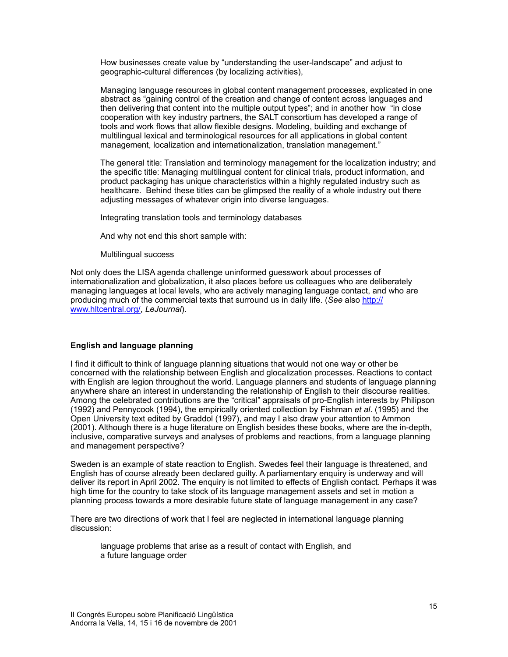How businesses create value by "understanding the user-landscape" and adjust to geographic-cultural differences (by localizing activities),

Managing language resources in global content management processes, explicated in one abstract as "gaining control of the creation and change of content across languages and then delivering that content into the multiple output types"; and in another how "in close cooperation with key industry partners, the SALT consortium has developed a range of tools and work flows that allow flexible designs. Modeling, building and exchange of multilingual lexical and terminological resources for all applications in global content management, localization and internationalization, translation management."

The general title: Translation and terminology management for the localization industry; and the specific title: Managing multilingual content for clinical trials, product information, and product packaging has unique characteristics within a highly regulated industry such as healthcare. Behind these titles can be glimpsed the reality of a whole industry out there adjusting messages of whatever origin into diverse languages.

Integrating translation tools and terminology databases

And why not end this short sample with:

Multilingual success

Not only does the LISA agenda challenge uninformed guesswork about processes of internationalization and globalization, it also places before us colleagues who are deliberately managing languages at local levels, who are actively managing language contact, and who are producing much of the commercial texts that surround us in daily life. (*See* also http:// www.hltcentral.org/, *LeJournal*).

### **English and language planning**

I find it difficult to think of language planning situations that would not one way or other be concerned with the relationship between English and glocalization processes. Reactions to contact with English are legion throughout the world. Language planners and students of language planning anywhere share an interest in understanding the relationship of English to their discourse realities. Among the celebrated contributions are the "critical" appraisals of pro-English interests by Philipson (1992) and Pennycook (1994), the empirically oriented collection by Fishman *et al*. (1995) and the Open University text edited by Graddol (1997), and may I also draw your attention to Ammon (2001). Although there is a huge literature on English besides these books, where are the in-depth, inclusive, comparative surveys and analyses of problems and reactions, from a language planning and management perspective?

Sweden is an example of state reaction to English. Swedes feel their language is threatened, and English has of course already been declared guilty. A parliamentary enquiry is underway and will deliver its report in April 2002. The enquiry is not limited to effects of English contact. Perhaps it was high time for the country to take stock of its language management assets and set in motion a planning process towards a more desirable future state of language management in any case?

There are two directions of work that I feel are neglected in international language planning discussion:

language problems that arise as a result of contact with English, and a future language order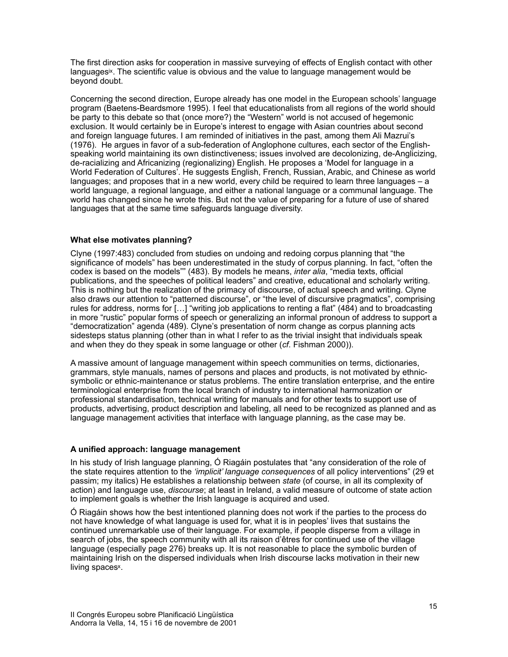<span id="page-10-0"></span>The first direction asks for cooperation in massive surveying of effects of English contact with other languages $\mathbf{x}$ [.](#page-16-8) The scientific value is obvious and the value to language management would be beyond doubt.

Concerning the second direction, Europe already has one model in the European schools' language program (Baetens-Beardsmore 1995). I feel that educationalists from all regions of the world should be party to this debate so that (once more?) the "Western" world is not accused of hegemonic exclusion. It would certainly be in Europe's interest to engage with Asian countries about second and foreign language futures. I am reminded of initiatives in the past, among them Ali Mazrui's (1976). He argues in favor of a sub-federation of Anglophone cultures, each sector of the Englishspeaking world maintaining its own distinctiveness; issues involved are decolonizing, de-Anglicizing, de-racializing and Africanizing (regionalizing) English. He proposes a 'Model for language in a World Federation of Cultures'. He suggests English, French, Russian, Arabic, and Chinese as world languages; and proposes that in a new world, every child be required to learn three languages – a world language, a regional language, and either a national language or a communal language. The world has changed since he wrote this. But not the value of preparing for a future of use of shared languages that at the same time safeguards language diversity.

### **What else motivates planning?**

Clyne (1997:483) concluded from studies on undoing and redoing corpus planning that "the significance of models" has been underestimated in the study of corpus planning. In fact, "often the codex is based on the models"" (483). By models he means, *inter alia*, "media texts, official publications, and the speeches of political leaders" and creative, educational and scholarly writing. This is nothing but the realization of the primacy of discourse, of actual speech and writing. Clyne also draws our attention to "patterned discourse", or "the level of discursive pragmatics", comprising rules for address, norms for […] "writing job applications to renting a flat" (484) and to broadcasting in more "rustic" popular forms of speech or generalizing an informal pronoun of address to support a "democratization" agenda (489). Clyne's presentation of norm change as corpus planning acts sidesteps status planning (other than in what I refer to as the trivial insight that individuals speak and when they do they speak in some language or other (*cf*. Fishman 2000)).

A massive amount of language management within speech communities on terms, dictionaries, grammars, style manuals, names of persons and places and products, is not motivated by ethnicsymbolic or ethnic-maintenance or status problems. The entire translation enterprise, and the entire terminological enterprise from the local branch of industry to international harmonization or professional standardisation, technical writing for manuals and for other texts to support use of products, advertising, product description and labeling, all need to be recognized as planned and as language management activities that interface with language planning, as the case may be.

### **A unified approach: language management**

In his study of Irish language planning, Ó Riagáin postulates that "any consideration of the role of the state requires attention to the *'implicit' language consequences* of all policy interventions" (29 et passim; my italics) He establishes a relationship between *state* (of course, in all its complexity of action) and language use, *discourse*; at least in Ireland, a valid measure of outcome of state action to implement goals is whether the Irish language is acquired and used.

<span id="page-10-1"></span>Ó Riagáin shows how the best intentioned planning does not work if the parties to the process do not have knowledge of what language is used for, what it is in peoples' lives that sustains the continued unremarkable use of their language. For example, if people disperse from a village in search of jobs, the speech community with all its raison d'êtres for continued use of the village language (especially page 276) breaks up. It is not reasonable to place the symbolic burden of maintaining Irish on the dispersed individuals when Irish discourse lacks motivation in their new living spaces<sup>x</sup>[.](#page-17-0)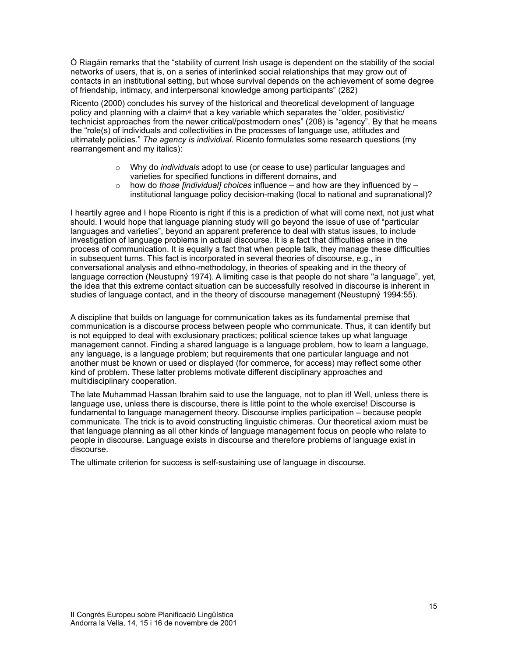Ó Riagáin remarks that the "stability of current Irish usage is dependent on the stability of the social networks of users, that is, on a series of interlinked social relationships that may grow out of contacts in an institutional setting, but whose survival depends on the achievement of some degree of friendship, intimacy, and interpersonal knowledge among participants" (282)

Ricento (2000) concludes his survey of the historical and theoretical development of language policy and planning with a claim<sup>xi</sup> that a key variable which separates the "older, positivistic/ technicist approaches from the newer critical/postmodern ones" (208) is "agency". By that he means the "role(s) of individuals and collectivities in the processes of language use, attitudes and ultimately policies." *The agency is individual*. Ricento formulates some research questions (my rearrangement and my italics):

- <span id="page-11-0"></span>o Why do *individuals* adopt to use (or cease to use) particular languages and varieties for specified functions in different domains, and
- o how do *those [individual] choices* influence and how are they influenced by institutional language policy decision-making (local to national and supranational)?

I heartily agree and I hope Ricento is right if this is a prediction of what will come next, not just what should. I would hope that language planning study will go beyond the issue of use of "particular languages and varieties", beyond an apparent preference to deal with status issues, to include investigation of language problems in actual discourse. It is a fact that difficulties arise in the process of communication. It is equally a fact that when people talk, they manage these difficulties in subsequent turns. This fact is incorporated in several theories of discourse, e.g., in conversational analysis and ethno-methodology, in theories of speaking and in the theory of language correction (Neustupný 1974). A limiting case is that people do not share "a language", yet, the idea that this extreme contact situation can be successfully resolved in discourse is inherent in studies of language contact, and in the theory of discourse management (Neustupný 1994:55).

A discipline that builds on language for communication takes as its fundamental premise that communication is a discourse process between people who communicate. Thus, it can identify but is not equipped to deal with exclusionary practices; political science takes up what language management cannot. Finding a shared language is a language problem, how to learn a language, any language, is a language problem; but requirements that one particular language and not another must be known or used or displayed (for commerce, for access) may reflect some other kind of problem. These latter problems motivate different disciplinary approaches and multidisciplinary cooperation.

The late Muhammad Hassan Ibrahim said to use the language, not to plan it! Well, unless there is language use, unless there is discourse, there is little point to the whole exercise! Discourse is fundamental to language management theory. Discourse implies participation – because people communicate. The trick is to avoid constructing linguistic chimeras. Our theoretical axiom must be that language planning as all other kinds of language management focus on people who relate to people in discourse. Language exists in discourse and therefore problems of language exist in discourse.

The ultimate criterion for success is self-sustaining use of language in discourse.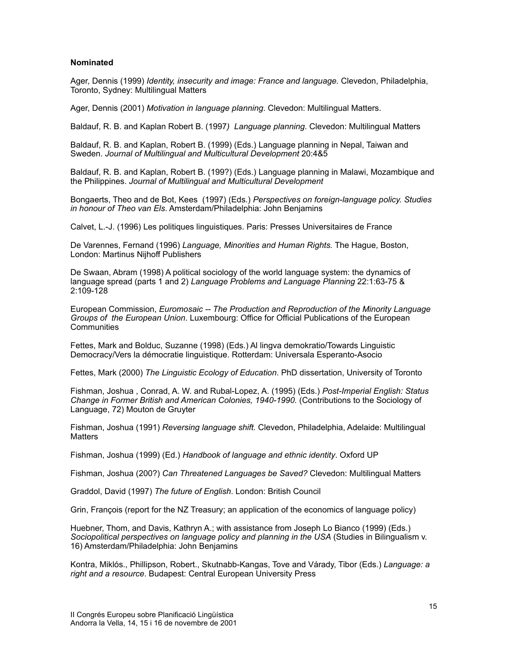#### **Nominated**

Ager, Dennis (1999) *Identity, insecurity and image: France and language.* Clevedon, Philadelphia, Toronto, Sydney: Multilingual Matters

Ager, Dennis (2001) *Motivation in language planning*. Clevedon: Multilingual Matters.

Baldauf, R. B. and Kaplan Robert B. (1997*) Language planning*. Clevedon: Multilingual Matters

Baldauf, R. B. and Kaplan, Robert B. (1999) (Eds.) Language planning in Nepal, Taiwan and Sweden. *Journal of Multilingual and Multicultural Development* 20:4&5

Baldauf, R. B. and Kaplan, Robert B. (199?) (Eds.) Language planning in Malawi, Mozambique and the Philippines. *Journal of Multilingual and Multicultural Development* 

Bongaerts, Theo and de Bot, Kees (1997) (Eds.) *Perspectives on foreign-language policy. Studies in honour of Theo van Els*. Amsterdam/Philadelphia: John Benjamins

Calvet, L.-J. (1996) Les politiques linguistiques. Paris: Presses Universitaires de France

De Varennes, Fernand (1996) *Language, Minorities and Human Rights.* The Hague, Boston, London: Martinus Nijhoff Publishers

De Swaan, Abram (1998) A political sociology of the world language system: the dynamics of language spread (parts 1 and 2) *Language Problems and Language Planning* 22:1:63-75 & 2:109-128

European Commission, *Euromosaic -- The Production and Reproduction of the Minority Language Groups of the European Union*. Luxembourg: Office for Official Publications of the European **Communities** 

Fettes, Mark and Bolduc, Suzanne (1998) (Eds.) Al lingva demokratio/Towards Linguistic Democracy/Vers la démocratie linguistique. Rotterdam: Universala Esperanto-Asocio

Fettes, Mark (2000) *The Linguistic Ecology of Education*. PhD dissertation, University of Toronto

Fishman, Joshua , Conrad, A. W. and Rubal-Lopez, A. (1995) (Eds.) *Post-Imperial English: Status Change in Former British and American Colonies, 1940-1990.* (Contributions to the Sociology of Language, 72) Mouton de Gruyter

Fishman, Joshua (1991) *Reversing language shift.* Clevedon, Philadelphia, Adelaide: Multilingual **Matters** 

Fishman, Joshua (1999) (Ed.) *Handbook of language and ethnic identity*. Oxford UP

Fishman, Joshua (200?) *Can Threatened Languages be Saved?* Clevedon: Multilingual Matters

Graddol, David (1997) *The future of English*. London: British Council

Grin, François (report for the NZ Treasury; an application of the economics of language policy)

Huebner, Thom, and Davis, Kathryn A.; with assistance from Joseph Lo Bianco (1999) (Eds.) *Sociopolitical perspectives on language policy and planning in the USA* (Studies in Bilingualism v. 16) Amsterdam/Philadelphia: John Benjamins

Kontra, Miklós., Phillipson, Robert., Skutnabb-Kangas, Tove and Várady, Tibor (Eds.) *Language: a right and a resource*. Budapest: Central European University Press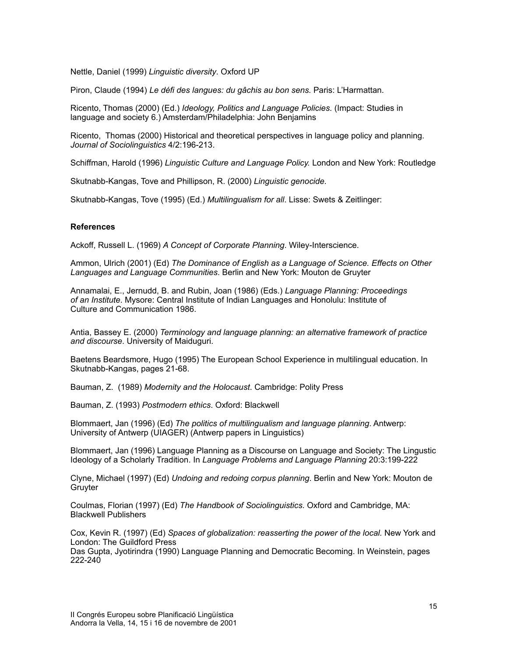Nettle, Daniel (1999) *Linguistic diversity*. Oxford UP

Piron, Claude (1994) *Le défi des langues: du gâchis au bon sens.* Paris: L'Harmattan.

Ricento, Thomas (2000) (Ed.) *Ideology, Politics and Language Policies*. (Impact: Studies in language and society 6.) Amsterdam/Philadelphia: John Benjamins

Ricento, Thomas (2000) Historical and theoretical perspectives in language policy and planning. *Journal of Sociolinguistics* 4/2:196-213.

Schiffman, Harold (1996) *Linguistic Culture and Language Policy.* London and New York: Routledge

Skutnabb-Kangas, Tove and Phillipson, R. (2000) *Linguistic genocide.*

Skutnabb-Kangas, Tove (1995) (Ed.) *Multilingualism for all*. Lisse: Swets & Zeitlinger:

#### **References**

Ackoff, Russell L. (1969) *A Concept of Corporate Planning*. Wiley-Interscience.

Ammon, Ulrich (2001) (Ed) *The Dominance of English as a Language of Science. Effects on Other Languages and Language Communities*. Berlin and New York: Mouton de Gruyter

Annamalai, E., Jernudd, B. and Rubin, Joan (1986) (Eds.) *Language Planning: Proceedings of an Institute*. Mysore: Central Institute of Indian Languages and Honolulu: Institute of Culture and Communication 1986.

Antia, Bassey E. (2000) *Terminology and language planning: an alternative framework of practice and discourse*. University of Maiduguri.

Baetens Beardsmore, Hugo (1995) The European School Experience in multilingual education. In Skutnabb-Kangas, pages 21-68.

Bauman, Z. (1989) *Modernity and the Holocaust*. Cambridge: Polity Press

Bauman, Z. (1993) *Postmodern ethics*. Oxford: Blackwell

Blommaert, Jan (1996) (Ed) *The politics of multilingualism and language planning*. Antwerp: University of Antwerp (UIAGER) (Antwerp papers in Linguistics)

Blommaert, Jan (1996) Language Planning as a Discourse on Language and Society: The Lingustic Ideology of a Scholarly Tradition. In *Language Problems and Language Planning* 20:3:199-222

Clyne, Michael (1997) (Ed) *Undoing and redoing corpus planning*. Berlin and New York: Mouton de **Gruyter** 

Coulmas, Florian (1997) (Ed) *The Handbook of Sociolinguistics*. Oxford and Cambridge, MA: Blackwell Publishers

Cox, Kevin R. (1997) (Ed) *Spaces of globalization: reasserting the power of the local.* New York and London: The Guildford Press

Das Gupta, Jyotirindra (1990) Language Planning and Democratic Becoming. In Weinstein, pages 222-240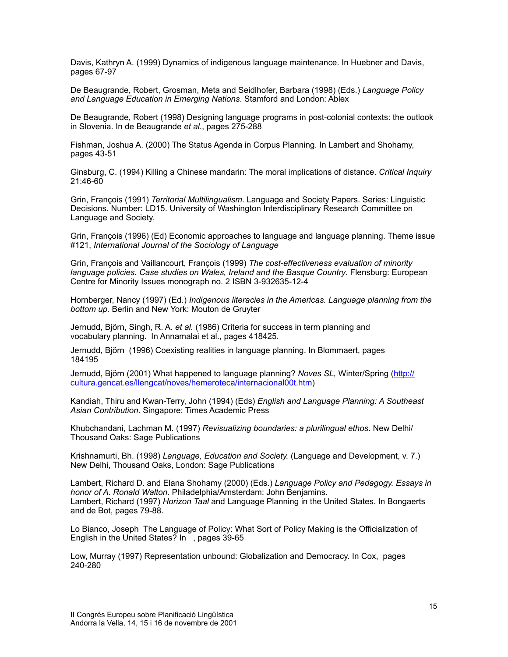Davis, Kathryn A. (1999) Dynamics of indigenous language maintenance. In Huebner and Davis, pages 67-97

De Beaugrande, Robert, Grosman, Meta and Seidlhofer, Barbara (1998) (Eds.) *Language Policy and Language Education in Emerging Nations*. Stamford and London: Ablex

De Beaugrande, Robert (1998) Designing language programs in post-colonial contexts: the outlook in Slovenia. In de Beaugrande *et al*., pages 275-288

Fishman, Joshua A. (2000) The Status Agenda in Corpus Planning. In Lambert and Shohamy, pages 43-51

Ginsburg, C. (1994) Killing a Chinese mandarin: The moral implications of distance. *Critical Inquiry* 21:46-60

Grin, François (1991) *Territorial Multilingualism*. Language and Society Papers. Series: Linguistic Decisions. Number: LD15. University of Washington Interdisciplinary Research Committee on Language and Society.

Grin, François (1996) (Ed) Economic approaches to language and language planning. Theme issue #121, *International Journal of the Sociology of Language*

Grin, François and Vaillancourt, François (1999) *The cost-effectiveness evaluation of minority language policies. Case studies on Wales, Ireland and the Basque Country*. Flensburg: European Centre for Minority Issues monograph no. 2 ISBN 3-932635-12-4

Hornberger, Nancy (1997) (Ed.) *Indigenous literacies in the Americas. Language planning from the bottom up.* Berlin and New York: Mouton de Gruyter

Jernudd, Björn, Singh, R. A. *et al.* (1986) Criteria for success in term planning and vocabulary planning. In Annamalai et al., pages 418425.

Jernudd, Björn (1996) Coexisting realities in language planning. In Blommaert, pages 184195

Jernudd, Björn (2001) What happened to language planning? *Noves SL,* Winter/Spring (http:// cultura.gencat.es/llengcat/noves/hemeroteca/internacional00t.htm)

Kandiah, Thiru and Kwan-Terry, John (1994) (Eds) *English and Language Planning: A Southeast Asian Contribution.* Singapore: Times Academic Press

Khubchandani, Lachman M. (1997) *Revisualizing boundaries: a plurilingual ethos*. New Delhi/ Thousand Oaks: Sage Publications

Krishnamurti, Bh. (1998) *Language, Education and Society.* (Language and Development, v. 7.) New Delhi, Thousand Oaks, London: Sage Publications

Lambert, Richard D. and Elana Shohamy (2000) (Eds.) *Language Policy and Pedagogy. Essays in honor of A. Ronald Walton*. Philadelphia/Amsterdam: John Benjamins. Lambert, Richard (1997) *Horizon Taal* and Language Planning in the United States. In Bongaerts and de Bot, pages 79-88.

Lo Bianco, Joseph The Language of Policy: What Sort of Policy Making is the Officialization of English in the United States? In , pages 39-65

Low, Murray (1997) Representation unbound: Globalization and Democracy. In Cox, pages 240-280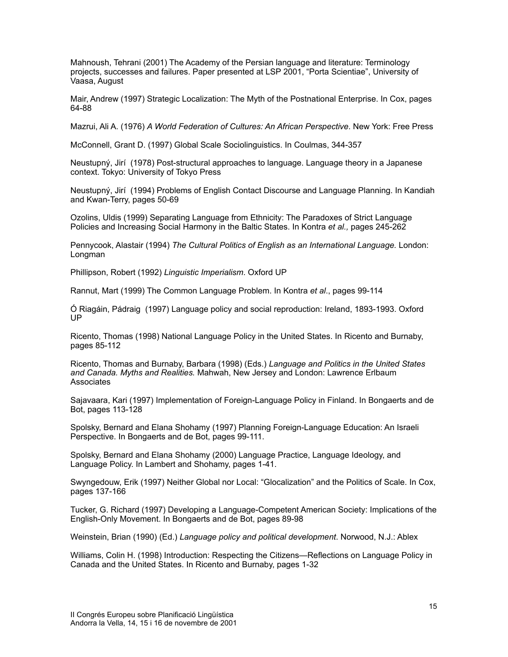Mahnoush, Tehrani (2001) The Academy of the Persian language and literature: Terminology projects, successes and failures. Paper presented at LSP 2001, "Porta Scientiae", University of Vaasa, August

Mair, Andrew (1997) Strategic Localization: The Myth of the Postnational Enterprise. In Cox, pages 64-88

Mazrui, Ali A. (1976) *A World Federation of Cultures: An African Perspective*. New York: Free Press

McConnell, Grant D. (1997) Global Scale Sociolinguistics. In Coulmas, 344-357

Neustupný, Jirí (1978) Post-structural approaches to language. Language theory in a Japanese context. Tokyo: University of Tokyo Press

Neustupný, Jirí (1994) Problems of English Contact Discourse and Language Planning. In Kandiah and Kwan-Terry, pages 50-69

Ozolins, Uldis (1999) Separating Language from Ethnicity: The Paradoxes of Strict Language Policies and Increasing Social Harmony in the Baltic States. In Kontra *et al.,* pages 245-262

Pennycook, Alastair (1994) *The Cultural Politics of English as an International Language.* London: Longman

Phillipson, Robert (1992) *Linguistic Imperialism*. Oxford UP

Rannut, Mart (1999) The Common Language Problem. In Kontra *et al*., pages 99-114

Ó Riagáin, Pádraig (1997) Language policy and social reproduction: Ireland, 1893-1993. Oxford UP

Ricento, Thomas (1998) National Language Policy in the United States. In Ricento and Burnaby, pages 85-112

Ricento, Thomas and Burnaby, Barbara (1998) (Eds.) *Language and Politics in the United States and Canada. Myths and Realities.* Mahwah, New Jersey and London: Lawrence Erlbaum **Associates** 

Sajavaara, Kari (1997) Implementation of Foreign-Language Policy in Finland. In Bongaerts and de Bot, pages 113-128

Spolsky, Bernard and Elana Shohamy (1997) Planning Foreign-Language Education: An Israeli Perspective. In Bongaerts and de Bot, pages 99-111.

Spolsky, Bernard and Elana Shohamy (2000) Language Practice, Language Ideology, and Language Policy. In Lambert and Shohamy, pages 1-41.

Swyngedouw, Erik (1997) Neither Global nor Local: "Glocalization" and the Politics of Scale. In Cox, pages 137-166

Tucker, G. Richard (1997) Developing a Language-Competent American Society: Implications of the English-Only Movement. In Bongaerts and de Bot, pages 89-98

Weinstein, Brian (1990) (Ed.) *Language policy and political development*. Norwood, N.J.: Ablex

Williams, Colin H. (1998) Introduction: Respecting the Citizens—Reflections on Language Policy in Canada and the United States. In Ricento and Burnaby, pages 1-32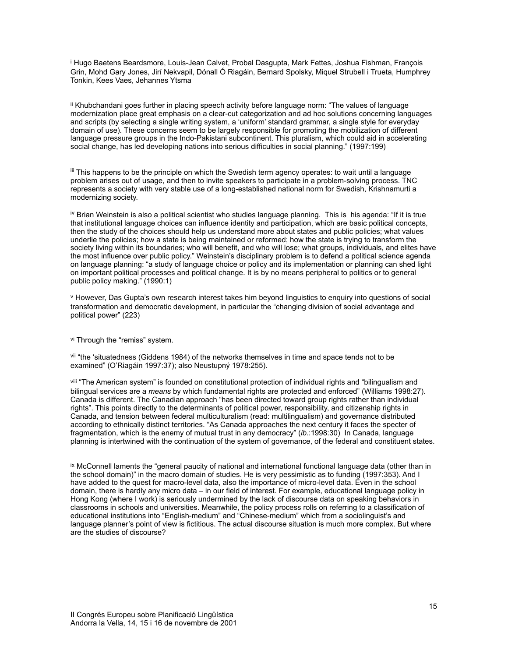<span id="page-16-0"></span><sup>i</sup>Hugo Baetens Beardsmore, Lou[i](#page-0-0)s-Jean Calvet, Probal Dasgupta, Mark Fettes, Joshua Fishman, François Grin, Mohd Gary Jones, Jirí Nekvapil, Dónall Ó Riagáin, Bernard Spolsky, Miquel Strubell i Trueta, Humphrey Tonkin, Kees Vaes, Jehannes Ytsma

<span id="page-16-1"></span>IIKhubchandani goes further in placing speech activity before language norm: "The values of language modernization place great emphasis on a clear-cut categorization and ad hoc solutions concerning languages and scripts (by selecting a single writing system, a 'uniform' standard grammar, a single style for everyday domain of use). These concerns seem to be largely responsible for promoting the mobilization of different language pressure groups in the Indo-Pakistani subcontinent. This pluralism, which could aid in accelerating social change, has led developing nations into serious difficulties in social planning." (1997:199)

<span id="page-16-2"></span> $\mathbb{I}$ This happens to be the principle on which the Swedish term agency operates: to wait until a language problem arises out of usage, and then to invite speakers to participate in a problem-solving process. TNC represents a society with very stable use of a long-established national norm for Swedish, Krishnamurti a modernizing society.

<span id="page-16-3"></span><sup>iv</sup>Brian Weinstein is also a political scientist who studies language planning. This is his agenda: "If it is true that institutional language choices can influence identity and participation, which are basic political concepts, then the study of the choices should help us understand more about states and public policies; what values underlie the policies; how a state is being maintained or reformed; how the state is trying to transform the society living within its boundaries; who will benefit, and who will lose; what groups, individuals, and elites have the most influence over public policy." Weinstein's disciplinary problem is to defend a political science agenda on language planning: "a study of language choice or policy and its implementation or planning can shed light on important political processes and political change. It is by no means peripheral to politics or to general public policy making." (1990:1)

<span id="page-16-4"></span>[v](#page-3-2) However, Das Gupta's own research interest takes him beyond linguistics to enquiry into questions of social transformation and democratic development, in particular the "changing division of social advantage and political power" (223)

<span id="page-16-5"></span>[vi](#page-5-0) Through the "remiss" system.

<span id="page-16-6"></span><sup>[vii](#page-6-0)</sup> "the 'situatedness (Giddens 1984) of the networks themselves in time and space tends not to be examined" (O'Riagáin 1997:37); also Neustupný 1978:255).

<span id="page-16-7"></span>viii"The American system" is founded on constitutional protection of individual rights and "bilingualism and bilingual services are a *means* by which fundamental rights are protected and enforced" (Williams 1998:27). Canada is different. The Canadian approach "has been directed toward group rights rather than individual rights". This points directly to the determinants of political power, responsibility, and citizenship rights in Canada, and tension between federal multiculturalism (read: multilingualism) and governance distributed according to ethnically distinct territories. "As Canada approaches the next century it faces the specter of fragmentation, which is the enemy of mutual trust in any democracy" (*ib*.:1998:30) In Canada, language planning is intertwined with the continuation of the system of governance, of the federal and constituent states.

<span id="page-16-8"></span>ixMcConnell laments the "general paucity of national and international functional language data (other than in the school domain)" in the macro domain of studies. He is very pessimistic as to funding (1997:353). And I have added to the quest for macro-level data, also the importance of micro-level data. Even in the school domain, there is hardly any micro data – in our field of interest. For example, educational language policy in Hong Kong (where I work) is seriously undermined by the lack of discourse data on speaking behaviors in classrooms in schools and universities. Meanwhile, the policy process rolls on referring to a classification of educational institutions into "English-medium" and "Chinese-medium" which from a sociolinguist's and language planner's point of view is fictitious. The actual discourse situation is much more complex. But where are the studies of discourse?